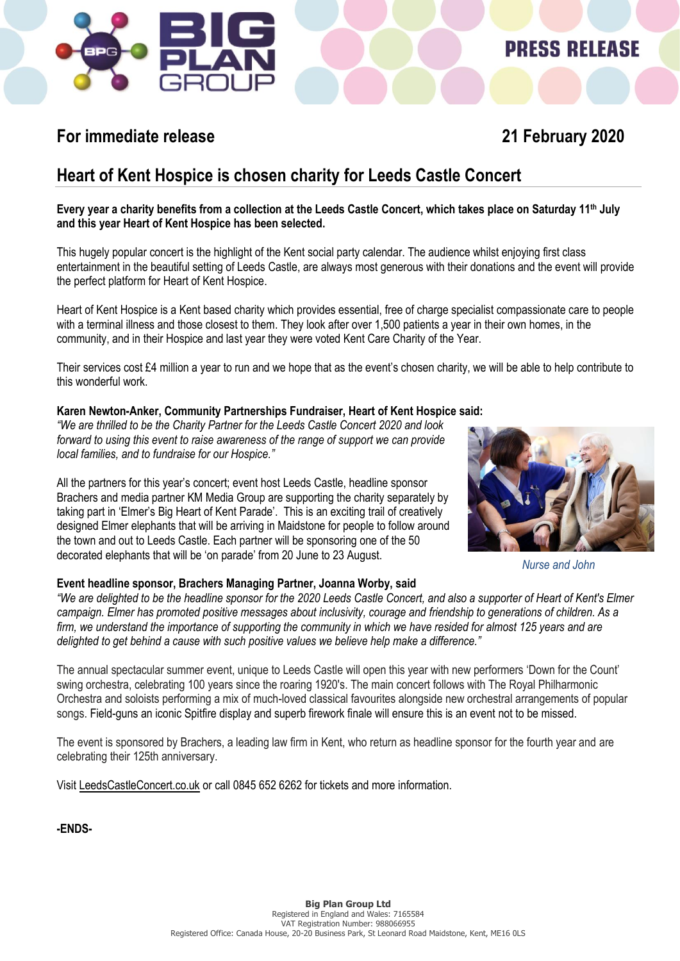

# **PRESS RELEASE**

### **For immediate release 21 February 2020**

### **Heart of Kent Hospice is chosen charity for Leeds Castle Concert**

**Every year a charity benefits from a collection at the Leeds Castle Concert, which takes place on Saturday 11th July and this year Heart of Kent Hospice has been selected.** 

This hugely popular concert is the highlight of the Kent social party calendar. The audience whilst enjoying first class entertainment in the beautiful setting of Leeds Castle, are always most generous with their donations and the event will provide the perfect platform for Heart of Kent Hospice.

Heart of Kent Hospice is a Kent based charity which provides essential, free of charge specialist compassionate care to people with a terminal illness and those closest to them. They look after over 1,500 patients a year in their own homes, in the community, and in their Hospice and last year they were voted Kent Care Charity of the Year.

Their services cost £4 million a year to run and we hope that as the event's chosen charity, we will be able to help contribute to this wonderful work.

### **Karen Newton-Anker, Community Partnerships Fundraiser, Heart of Kent Hospice said:**

*"We are thrilled to be the Charity Partner for the Leeds Castle Concert 2020 and look forward to using this event to raise awareness of the range of support we can provide local families, and to fundraise for our Hospice."*

All the partners for this year's concert; event host Leeds Castle, headline sponsor Brachers and media partner KM Media Group are supporting the charity separately by taking part in 'Elmer's Big Heart of Kent Parade'. This is an exciting trail of creatively designed Elmer elephants that will be arriving in Maidstone for people to follow around the town and out to Leeds Castle. Each partner will be sponsoring one of the 50 decorated elephants that will be 'on parade' from 20 June to 23 August.

### **Event headline sponsor, Brachers Managing Partner, Joanna Worby, said**



*Nurse and John*

*"We are delighted to be the headline sponsor for the 2020 Leeds Castle Concert, and also a supporter of Heart of Kent's Elmer campaign. Elmer has promoted positive messages about inclusivity, courage and friendship to generations of children. As a firm, we understand the importance of supporting the community in which we have resided for almost 125 years and are delighted to get behind a cause with such positive values we believe help make a difference."*

The annual spectacular summer event, unique to Leeds Castle will open this year with new performers 'Down for the Count' swing orchestra, celebrating 100 years since the roaring 1920's. The main concert follows with The Royal Philharmonic Orchestra and soloists performing a mix of much-loved classical favourites alongside new orchestral arrangements of popular songs. Field-guns an iconic Spitfire display and superb firework finale will ensure this is an event not to be missed.

The event is sponsored by Brachers, a leading law firm in Kent, who return as headline sponsor for the fourth year and are celebrating their 125th anniversary.

Visit [LeedsCastleConcert.co.uk](http://www.leedscastleconcert.co.uk/) or call 0845 652 6262 for tickets and more information.

**-ENDS-**